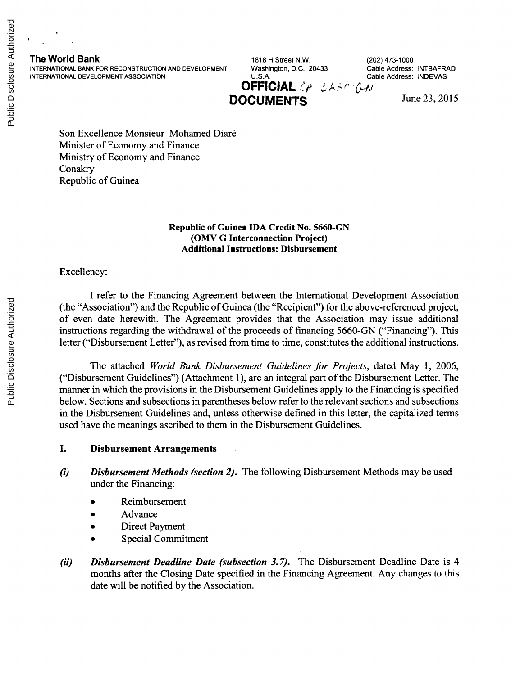INTERNATIONAL BANK FOR RECONSTRUCTION AND DEVELOPMENT Washington, D.C. 20433 Cable Address: INTBAFRAD INTERAFRA<br>INTERNATIONAL DEVELOPMENT ASSOCIATION U.S.A. U.S.A. Cable Address: INDEVAS **INTERNATIONAL DEVELOPMENT ASSOCIATION** 

**The World Bank** 1818 H Street N.W. (202) 473-1000<br>
INTERNATIONAL BANK FOR RECONSTRUCTION AND DEVELOPMENT Washington, D.C. 20433 Cable Address: INTBAFRAD **OFFICIAL** OP, SAAP ON **DOCUMENTS** June 23, 2015

Son Excellence Monsieur Mohamed Diar6 Minister of Economy and Finance Ministry of Economy and Finance Conakry Republic of Guinea

#### **Republic of Guinea IDA Credit** No. **5660-GN (OMV G Interconnection Project) Additional Instructions: Disbursement**

Excellency:

**I** refer to the Financing Agreement between the International Development Association (the "Association") and the Republic of Guinea (the "Recipient") for the above-referenced project, of even date herewith. The Agreement provides that the Association may issue additional instructions regarding the withdrawal of the proceeds of financing **5660-GN** ("Financing"). This letter ("Disbursement Letter"), as revised from time to time, constitutes the additional instructions.

The attached *World Bank Disbursement Guidelines for Projects,* dated May **1, 2006,** ("Disbursement Guidelines") (Attachment **1),** are an integral part of the Disbursement Letter. The manner in which the provisions in the Disbursement Guidelines apply to the Financing is specified below. Sections and subsections in parentheses below refer to the relevant sections and subsections in the Disbursement Guidelines and, unless otherwise defined in this letter, the capitalized terms used have the meanings ascribed to them in the Disbursement Guidelines.

## **I. Disbursement Arrangements**

- *(i) Disbursement Methods (section 2).* The following Disbursement Methods may **be** used under the Financing:
	- **Reimbursement**
	- Advance
	- Direct Payment
	- Special Commitment
- *(ii)* Disbursement Deadline Date (subsection 3.7). The Disbursement Deadline Date is 4 months after the Closing Date specified in the Financing Agreement. Any changes to this date will be notified **by** the Association.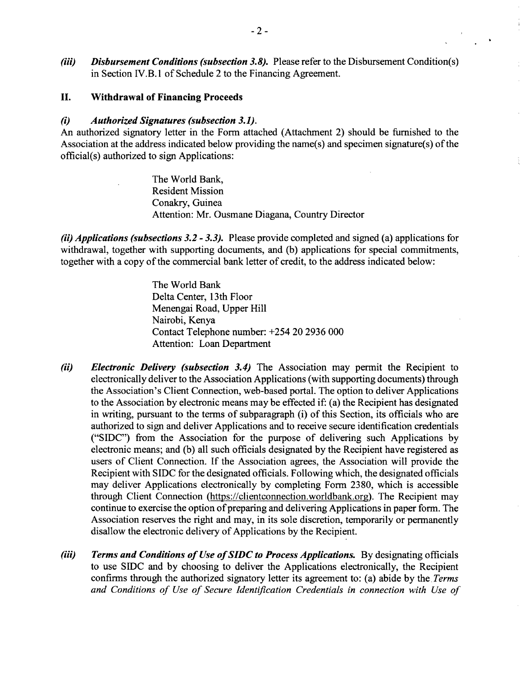*(iii)* Disbursement Conditions (subsection 3.8). Please refer to the Disbursement Condition(s) in Section IV.B.1 of Schedule 2 to the Financing Agreement.

# **II. Withdrawal of Financing Proceeds**

### *(i) Authorized Signatures (subsection 3.1).*

An authorized signatory letter in the Form attached (Attachment 2) should be furnished to the Association at the address indicated below providing the name(s) and specimen signature(s) of the official(s) authorized to sign Applications:

> The World Bank, Resident Mission Conakry, Guinea Attention: Mr. Ousmane Diagana, Country Director

*(ii) Applications (subsections 3.2* **-** *3.3).* Please provide completed and signed (a) applications for withdrawal, together with supporting documents, and **(b)** applications for special commitments, together with a copy of the commercial bank letter of credit, to the address indicated below:

> The World Bank Delta Center, 13th Floor Menengai Road, Upper Hill Nairobi, Kenya Contact Telephone number: *+254* 20 **2936 000** Attention: Loan Department

- *(ii) Electronic Delivery (subsection 3.4)* The Association may permit the Recipient to electronically deliver to the Association Applications (with supporting documents) through the Association's Client Connection, web-based portal. The option to deliver Applications to the Association **by** electronic means may be effected if: (a) the Recipient has designated in writing, pursuant to the terms of subparagraph (i) of this Section, its officials who are authorized to sign and deliver Applications and to receive secure identification credentials **("SIDC")** from the Association for the purpose of delivering such Applications **by** electronic means; and **(b)** all such officials designated **by** the Recipient have registered as users of Client Connection. **If** the Association agrees, the Association will provide the Recipient with **SIDC** for the designated officials. Following which, the designated officials may deliver Applications electronically **by** completing Form **2380,** which is accessible through Client Connection (https://clientconnection.worldbank.org). The Recipient may continue to exercise the option of preparing and delivering Applications in paper form. The Association reserves the right and may, in its sole discretion, temporarily or permanently disallow the electronic delivery of Applications **by** the Recipient.
- *(iii) Terms and Conditions of Use of SIDC to Process Applications.* **By** designating officials to use **SIDC** and **by** choosing to deliver the Applications electronically, the Recipient confirms through the authorized signatory letter its agreement to: (a) abide **by** the. *Terms and Conditions of Use of Secure Identification Credentials in connection with Use of*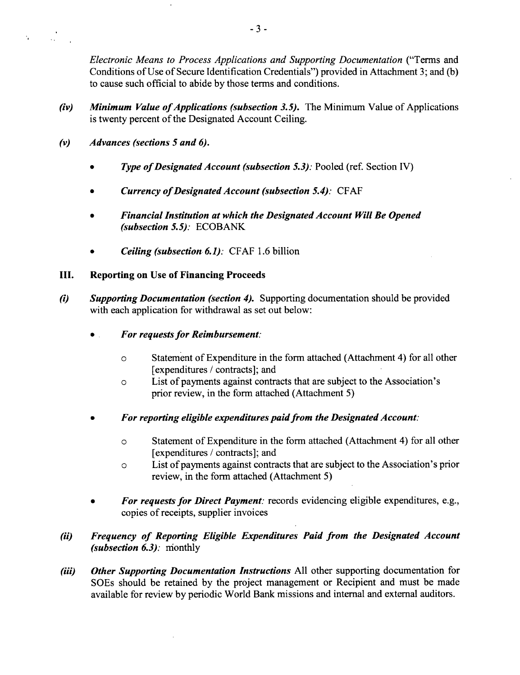*Electronic Means to Process Applications and Supporting Documentation* ("Terms and Conditions of Use of Secure Identification Credentials") provided in Attachment **3;** and **(b)** to cause such official to abide **by** those terms and conditions.

- *(iv) Minimum Value of Applications (subsection 3.5).* The Minimum Value of Applications is twenty percent of the Designated Account Ceiling.
- *(v) Advances (sections 5 and 6).*

 $\mathbf{r}_i$ 

- *\* Type ofDesignated Account (subsection 5.3):* Pooled (ref. Section IV)
- *Currency of Designated Account (subsection 5.4): CFAF*
- *\* Financial Institution at which the Designated Account Will Be Opened (subsection 5.5):* **ECOBANK**
- *\* Ceiling (subsection 6.1):* **CFAF 1.6** billion
- **III. Reporting on Use of Financing Proceeds**
- *(i) Supporting Documentation (section 4).* Supporting documentation should be provided with each application for withdrawal as set out below:
	- *\* For requests for Reimbursement:*
		- **0** Statement of Expenditure in the form attached (Attachment 4) for all other [expenditures **/** contracts]; and
		- **0** List of payments against contracts that are subject to the Association's prior review, in the form attached (Attachment *5)*
	- *\* For reporting eligible expenditures paid from the Designated Account:*
		- **0** Statement of Expenditure in the form attached (Attachment 4) for all other [expenditures **/** contracts]; and
		- a List of payments against contracts that are subject to the Association's prior review, in the form attached (Attachment *5)*
	- *For requests for Direct Payment: records evidencing eligible expenditures, e.g.,* copies of receipts, supplier invoices

# *(ii) Frequency of Reporting Eligible Expenditures Paid from the Designated Account (subsection 6.3):* nionthly

*(iii) Other Supporting Documentation Instructions* **All** other supporting documentation for SOEs should be retained **by** the project management or Recipient and must be made available for review **by** periodic World Bank missions and internal and external auditors.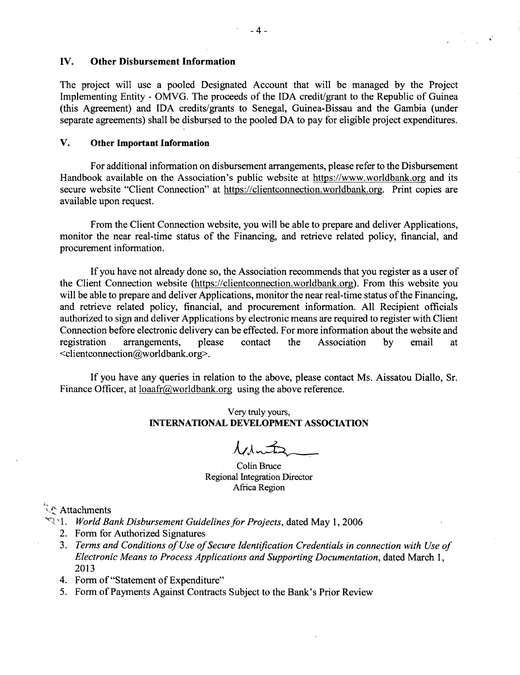## **IV. Other Disbursement Information**

The project will use a pooled Designated Account that will be managed **by** the Project Implementing Entity **-** OMVG. The proceeds of the **IDA** credit/grant to the Republic of Guinea (this Agreement) and **IDA** credits/grants to Senegal, Guinea-Bissau and the Gambia (under separate agreements) shall be disbursed to the pooled **DA** to pay for eligible project expenditures.

# **V. Other Important Information**

For additional information on disbursement arrangements, please refer to the Disbursement Handbook available on the Association's public website at https://www.worldbank.org and its secure website "Client Connection" at https://clientconnection.worldbank.org. Print copies are available upon request.

From the Client Connection website, you will be able to prepare and deliver Applications, monitor the near real-time status of the Financing, and retrieve related policy, financial, and procurement information.

**If** you have not already done so, the Association recommends that you register as a user of the Client Connection website (https://clientconnection.worldbank.org). From this website you will be able to prepare and deliver Applications, monitor the near real-time status of the Financing, and retrieve related policy, financial, and procurement information. **All** Recipient officials authorized to sign and deliver Applications **by** electronic means are required to register with Client Connection before electronic delivery can be effected. For more information about the website and registration arrangements, please contact the Association **by** email at <clientconnection@worldbank.org>.

**If** you have any queries in relation to the above, please contact Ms. Aissatou Diallo, Sr. Finance Officer, at loaafr@worldbank.org using the above reference.

# Very truly yours, **INTERNATIONAL DEVELOPMENT ASSOCIATION**

 $\lambda$ chn $\pm$ 

Colin Bruce Regional Integration Director Africa Region

# Attachments

- **1.** *World Bank Disbursement Guidelines for Projects,* dated May **1, 2006**
	- 2. Form for Authorized Signatures
	- **3.** *Terms and Conditions of Use ofSecure Identification Credentials in connection with Use of Electronic Means to Process Applications and Supporting Documentation,* dated March **1, 2013**
	- 4. Form of "Statement of Expenditure"
	- *5.* Form of Payments Against Contracts Subject to the Bank's Prior Review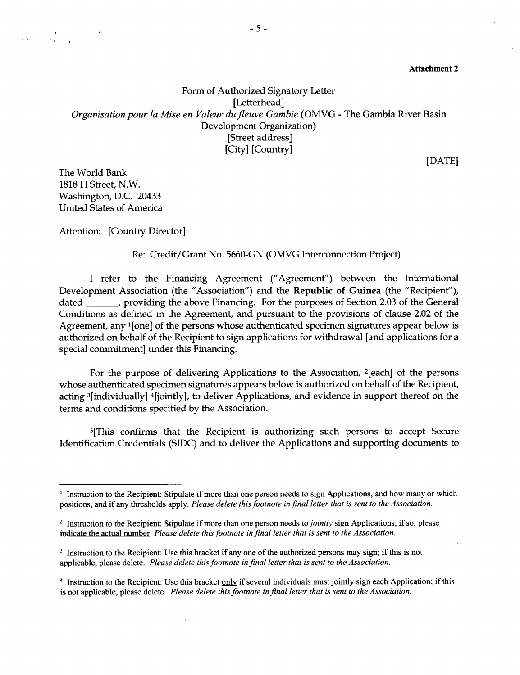Attachment 2

Form of Authorized *Signatory* Letter [Letterhead] *Organisation pour la Mise en Valeur dufleuve Gambie* (OMVG **-** The Gambia River Basin Development Organization) [Street address] [City] [Country]

**[DATE]**

The World Bank **1818** H Street, N.W. Washington, **D.C.** 20433 United States of America

Attention: [Country Director]

Re: Credit/Grant No. **5660-GN (OMVG** Interconnection Project)

**I** refer to the Financing Agreement ("Agreement") between the International Development Association (the "Association") and the Republic of Guinea (the "Recipient"), dated , providing the above Financing. For the purposes of Section **2.03** of the General Conditions as defined in the Agreement, and pursuant to the provisions of clause 2.02 of the Agreement, any <sup>1</sup>[one] of the persons whose authenticated specimen signatures appear below is authorized on behalf of the Recipient to sign applications for withdrawal [and applications for a special commitment] under this Financing.

For the purpose of delivering Applications to the Association, 2[each] of the persons whose authenticated specimen signatures appears below is authorized on behalf of the Recipient, acting 3[individually] 4[jointly], to deliver Applications, and evidence in support thereof on the terms and conditions specified **by** the Association.

5[This confirms that the Recipient is authorizing such persons to accept Secure Identification Credentials **(SIDC)** and to deliver the Applications and supporting documents to

<sup>&</sup>lt;sup>1</sup> Instruction to the Recipient: Stipulate if more than one person needs to sign Applications, and how many or which positions, and if any thresholds apply. *Please delete this footnote in final letter that is sent to the Association.*

<sup>2</sup>Instruction to the Recipient: Stipulate if more than one person needs *to jointly* sign Applications, if so, please indicate the actual number. *Please delete this footnote in final letter that is sent to the Association.*

<sup>&</sup>lt;sup>3</sup> Instruction to the Recipient: Use this bracket if any one of the authorized persons may sign; if this is not applicable, please delete. *Please delete this footnote in final letter that is sent to the Association.*

<sup>4</sup> Instruction to the Recipient: Use this bracket **only** if several individuals must jointly sign each Application; if this is not applicable, please delete. *Please delete this footnote in final letter that is sent to the Association.*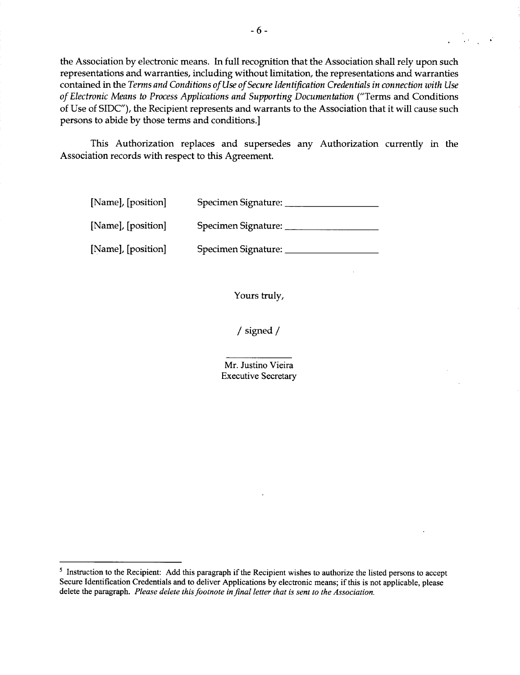the Association **by** electronic means. In full recognition that the Association shall rely upon such representations and warranties, including without limitation, the representations and warranties contained in the *Terms and Conditions of Use of Secure Identification Credentials in connection with Use of Electronic Means to Process Applications and Supporting .Documentation* ("Terms and Conditions of Use of **SIDC"),** the Recipient represents and warrants to the Association that it will cause such persons to abide **by** those terms and conditions.]

This Authorization replaces and supersedes any Authorization currently in the Association records with respect to this Agreement.

| [Name], [position] | Specimen Signature: |
|--------------------|---------------------|
| [Name], [position] | Specimen Signature: |
| [Name], [position] | Specimen Signature: |

Yours truly,

**/** signed **/**

Mr. Justino Vieira Executive Secretary

s Instruction to the Recipient: **Add** this paragraph if the Recipient wishes to authorize the listed persons to accept Secure Identification Credentials and to deliver Applications **by** electronic means; *if* this is not applicable, please delete the paragraph. *Please delete this footnote in final letter that is sent to the Association.*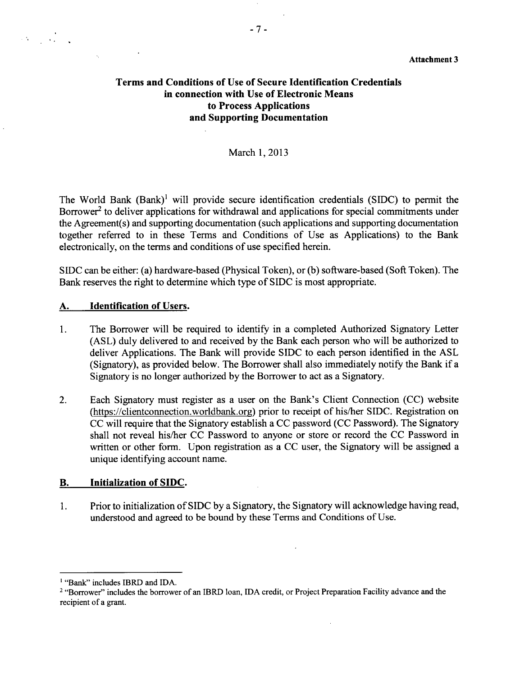# **Terms and Conditions of Use of Secure Identification Credentials in connection with Use of Electronic Means to Process Applications and Supporting Documentation**

# March **1, 2013**

The World Bank (Bank)' will provide secure identification credentials **(SIDC)** to permit the Borrower<sup>2</sup> to deliver applications for withdrawal and applications for special commitments under the Agreement(s) and supporting documentation (such applications and supporting documentation together referred to in these Terms and Conditions of Use as Applications) to the Bank electronically, on the terms and conditions of use specified herein.

**SIDC** can be either: (a) hardware-based (Physical Token), or **(b)** software-based (Soft Token). The Bank reserves the right to determine which type of **SIDC** is most appropriate.

### **A. Identification of** Users.

- 1. The Borrower will be required to identify in a completed Authorized Signatory Letter **(ASL)** duly delivered to and received **by** the Bank each person who will be authorized to deliver Applications. The Bank will provide **SIDC** to each person identified in the **ASL** (Signatory), as provided below. The Borrower shall also immediately notify the Bank if a Signatory is no longer authorized **by** the Borrower to act as a Signatory.
- 2. Each Signatory must register as a user on the Bank's Client Connection **(CC)** website (https://clientconnection.worldbank.org) prior to receipt of his/her **SIDC.** Registration on **CC** will require that the Signatory establish a **CC** password **(CC** Password). The Signatory shall not reveal his/her **CC** Password to anyone or store or record the **CC** Password in written or other form. Upon registration as a **CC** user, the Signatory will be assigned a unique identifying account name.

#### B. **Initialization of SIDC.**

1. Prior to initialization of **SIDC by** a Signatory, the Signatory will acknowledge having read, understood and agreed to be bound **by** these Terms and Conditions of Use.

 $\ddot{\phantom{a}}$ 

<sup>&</sup>lt;sup>1</sup> "Bank" includes IBRD and IDA.

<sup>&</sup>lt;sup>2</sup> "Borrower" includes the borrower of an IBRD loan, IDA credit, or Project Preparation Facility advance and the recipient of a grant.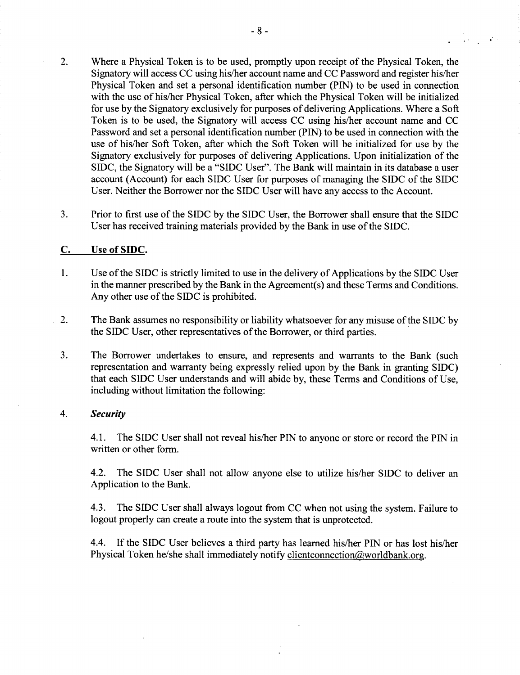- 2. Where a Physical Token is to be used, promptly upon receipt of the Physical Token, the Signatory will access **CC** using his/her account name and **CC** Password and register his/her Physical Token and set a personal identification number **(PIN)** to be used in connection with the use of his/her Physical Token, after which the Physical Token will be initialized for use **by** the Signatory exclusively for purposes of delivering Applications. Where a Soft Token is to be used, the Signatory will access **CC** using his/her account name and **CC** Password and set a personal identification number **(PIN)** to be used in connection with the use of his/her Soft Token, after which the Soft Token will be initialized for use **by** the Signatory exclusively for purposes of delivering Applications. Upon initialization of the **SIDC,** the Signatory will be a **"SIDC** User". The Bank will maintain in its database a user account (Account) for each **SIDC** User for purposes of managing the SIDC of the **SIDC** User. Neither the Borrower nor the **SIDC** User will have any access to the Account.
- **3.** Prior to first use of the **SIDC by** the **SIDC** User, the Borrower shall ensure that the **SIDC** User has received training materials provided **by** the Bank in use of the **SIDC.**

# **C.** Use of **SIDC.**

- 1. Use of the **SIDC** is strictly limited to use in the delivery of Applications **by** the **SIDC** User in the manner prescribed **by** the Bank in the Agreement(s) and these Terms and Conditions. Any other use of the **SIDC** is prohibited.
- 2. The Bank assumes no responsibility or liability whatsoever for any misuse of the **SIDC by** the **SIDC** User, other representatives of the Borrower, or third parties.
- **3.** The Borrower undertakes to ensure, and represents and warrants to the Bank (such representation and warranty being expressly relied upon **by** the Bank in granting **SIDC)** that each **SIDC** User understands and will abide **by,** these Terms and Conditions of Use, including without limitation the following:

#### 4. *Security*

4.1. The **SIDC** User shall not reveal his/her **PIN** to anyone or store or record the **PIN** in written or other form.

4.2. The **SIDC** User shall not allow anyone else to utilize his/her **SIDC** to deliver an Application to the Bank.

4.3. The **SIDC** User shall always logout from **CC** when not using the system. Failure to logout properly can create a route into the system that is unprotected.

4.4. **If** the **SIDC** User believes a third party has learned his/her **PIN** or has lost his/her Physical Token he/she shall immediately notify clientconnection $@$ worldbank.org.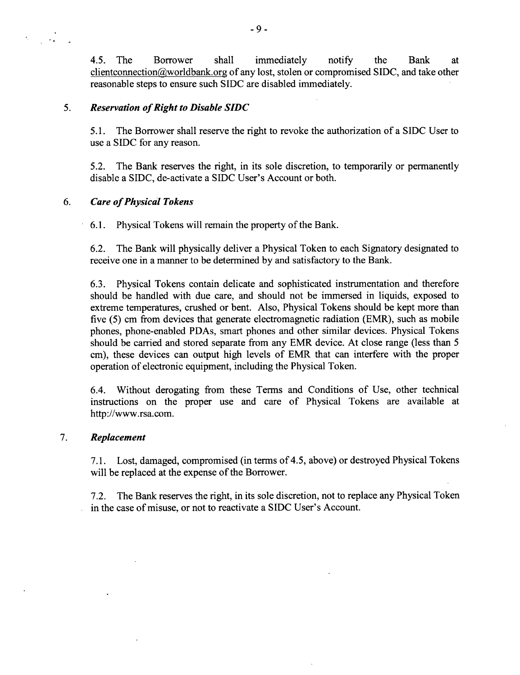4.5. The Borrower shall immediately notify the Bank at clientconnection&worldbank.org of any lost, stolen or compromised **SIDC,** and take other reasonable steps to ensure such **SIDC** are disabled immediately.

# **5.** *Reservation of Right to Disable SIDC*

**5.1.** The Borrower shall reserve the right to revoke the authorization of a **SIDC** User to use a **SIDC** for any reason.

**5.2.** The Bank reserves the right, in its sole discretion, to temporarily or permanently disable a **SIDC,** de-activate a **SIDC** User's Account or both.

# **6.** *Care of Physical Tokens*

**6.1.** Physical Tokens will remain the property of the Bank.

**6.2.** The Bank will physically deliver a Physical Token to each Signatory designated to receive one in a manner to be determined **by** and satisfactory to the Bank.

**6.3.** Physical Tokens contain delicate and sophisticated instrumentation and therefore should be handled with due care, and should not be immersed in liquids, exposed to extreme temperatures, crushed or bent. Also, Physical Tokens should be kept more than five (5) cm from devices that generate electromagnetic radiation (EMR), such as mobile phones, phone-enabled PDAs, smart phones and other similar devices. Physical Tokens should be carried and stored separate from any EMR device. At close range (less than **5** cm), these devices can output high levels of EMR that can interfere with the proper operation of electronic equipment, including the Physical Token.

6.4. Without derogating from these Terms and Conditions of Use, other technical instructions on the proper use and care of Physical Tokens are available at http://www.rsa.com.

# **7.** *Replacement*

**7.1.** Lost, damaged, compromised (in terms of 4.5, above) or destroyed Physical Tokens will be replaced at the expense of the Borrower.

**7.2.** The Bank reserves the right, in its sole discretion, not to replace any Physical Token in the case of misuse, or not to reactivate a **SIDC** User's Account.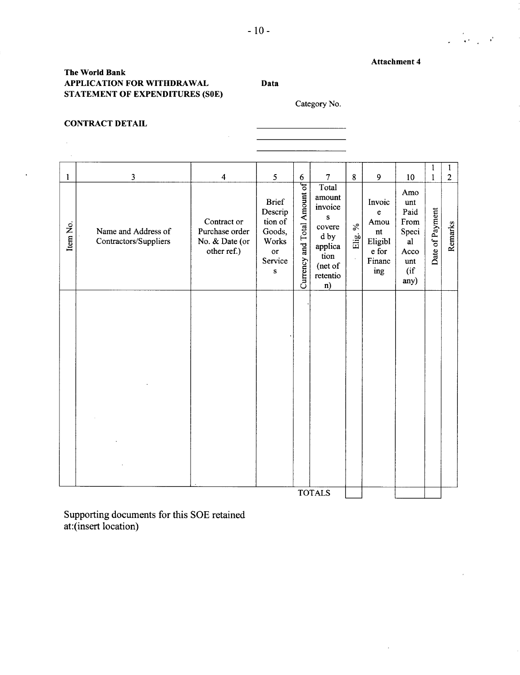$\bar{z}$ 

 $\label{eq:2} \frac{1}{2} \left( \frac{1}{2} \sum_{i=1}^n \frac{1}{2} \sum_{j=1}^n \frac{1}{2} \sum_{j=1}^n \frac{1}{2} \sum_{j=1}^n \frac{1}{2} \sum_{j=1}^n \frac{1}{2} \sum_{j=1}^n \frac{1}{2} \sum_{j=1}^n \frac{1}{2} \sum_{j=1}^n \frac{1}{2} \sum_{j=1}^n \frac{1}{2} \sum_{j=1}^n \frac{1}{2} \sum_{j=1}^n \frac{1}{2} \sum_{j=1}^n \frac{1}{2} \sum_{j$ 

# **The World Bank APPLICATION FOR WITHDRAWAL Data STATEMENT OF EXPENDITURES (SOE)**

Category No.

<u> 1990 - Johann Barbara, martxa a</u>

#### **CONTRACT DETAIL**

 $\mathcal{A}^{\pm}$ 

 $\hat{\mathbf{r}}$ 

| $\mathbf{1}$ |                                                                         |                                                                                  |                                                                                          |                                       |                                                                                                                             |                                 |                                                                                                       |                                                                               |                      |                           |
|--------------|-------------------------------------------------------------------------|----------------------------------------------------------------------------------|------------------------------------------------------------------------------------------|---------------------------------------|-----------------------------------------------------------------------------------------------------------------------------|---------------------------------|-------------------------------------------------------------------------------------------------------|-------------------------------------------------------------------------------|----------------------|---------------------------|
|              |                                                                         |                                                                                  |                                                                                          |                                       |                                                                                                                             |                                 |                                                                                                       |                                                                               | 1                    | 1                         |
| Item No.     | $\overline{\mathbf{3}}$<br>Name and Address of<br>Contractors/Suppliers | $\overline{4}$<br>Contract or<br>Purchase order<br>No. & Date (or<br>other ref.) | 5<br><b>Brief</b><br>Descrip<br>tion of<br>Goods,<br>Works<br>or<br>Service<br>${\bf S}$ | $6\,$<br>Currency and Total Amount of | $\overline{7}$<br>Total<br>amount<br>invoice<br>${\bf S}$<br>covere<br>d by<br>applica<br>tion<br>(net of<br>retentio<br>n) | $8\phantom{.}$<br>$\%$<br>Elig. | 9<br>Invoic<br>$\mathbf e$<br>Amou<br>$\mathop{\rm nt}\nolimits$<br>Eligibl<br>e for<br>Financ<br>ing | 10<br>Amo<br>unt<br>Paid<br>From<br>Speci<br>al<br>Acco<br>unt<br>(if<br>any) | 1<br>Date of Payment | $\overline{2}$<br>Remarks |
|              |                                                                         |                                                                                  |                                                                                          |                                       | <b>TOTALS</b>                                                                                                               |                                 |                                                                                                       |                                                                               |                      |                           |

Supporting documents for this **SOE** retained at:(insert location)